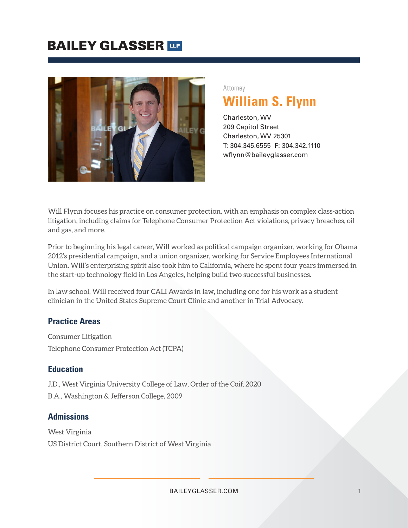# **BAILEY GLASSER TIP**



# Attorney **William S. Flynn**

Charleston, WV 209 Capitol Street Charleston, WV 25301 T: 304.345.6555 F: 304.342.1110 wflynn@baileyglasser.com

Will Flynn focuses his practice on consumer protection, with an emphasis on complex class-action litigation, including claims for Telephone Consumer Protection Act violations, privacy breaches, oil and gas, and more.

Prior to beginning his legal career, Will worked as political campaign organizer, working for Obama 2012's presidential campaign, and a union organizer, working for Service Employees International Union. Will's enterprising spirit also took him to California, where he spent four years immersed in the start-up technology field in Los Angeles, helping build two successful businesses.

In law school, Will received four CALI Awards in law, including one for his work as a student clinician in the United States Supreme Court Clinic and another in Trial Advocacy.

### **Practice Areas**

Consumer Litigation Telephone Consumer Protection Act (TCPA)

#### **Education**

J.D., West Virginia University College of Law, Order of the Coif, 2020 B.A., Washington & Jefferson College, 2009

### **Admissions**

West Virginia US District Court, Southern District of West Virginia